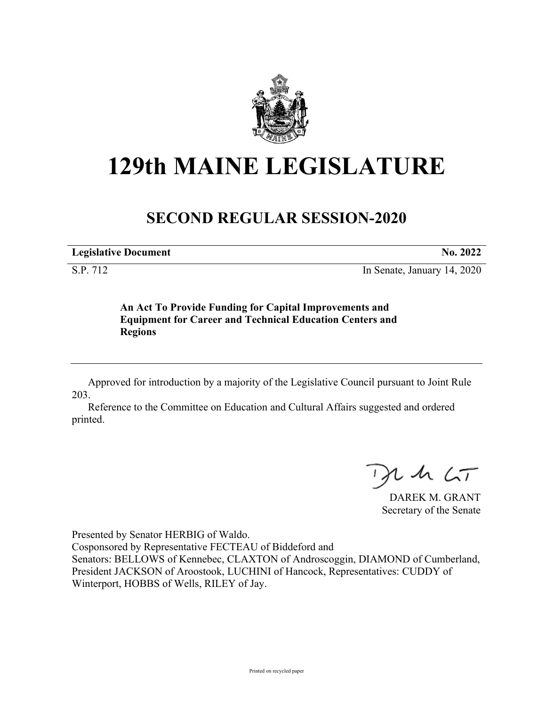

# **129th MAINE LEGISLATURE**

## **SECOND REGULAR SESSION-2020**

**Legislative Document No. 2022**

S.P. 712 In Senate, January 14, 2020

**An Act To Provide Funding for Capital Improvements and Equipment for Career and Technical Education Centers and Regions**

Approved for introduction by a majority of the Legislative Council pursuant to Joint Rule 203.

Reference to the Committee on Education and Cultural Affairs suggested and ordered printed.

 $125$ 

DAREK M. GRANT Secretary of the Senate

Presented by Senator HERBIG of Waldo. Cosponsored by Representative FECTEAU of Biddeford and Senators: BELLOWS of Kennebec, CLAXTON of Androscoggin, DIAMOND of Cumberland, President JACKSON of Aroostook, LUCHINI of Hancock, Representatives: CUDDY of Winterport, HOBBS of Wells, RILEY of Jay.